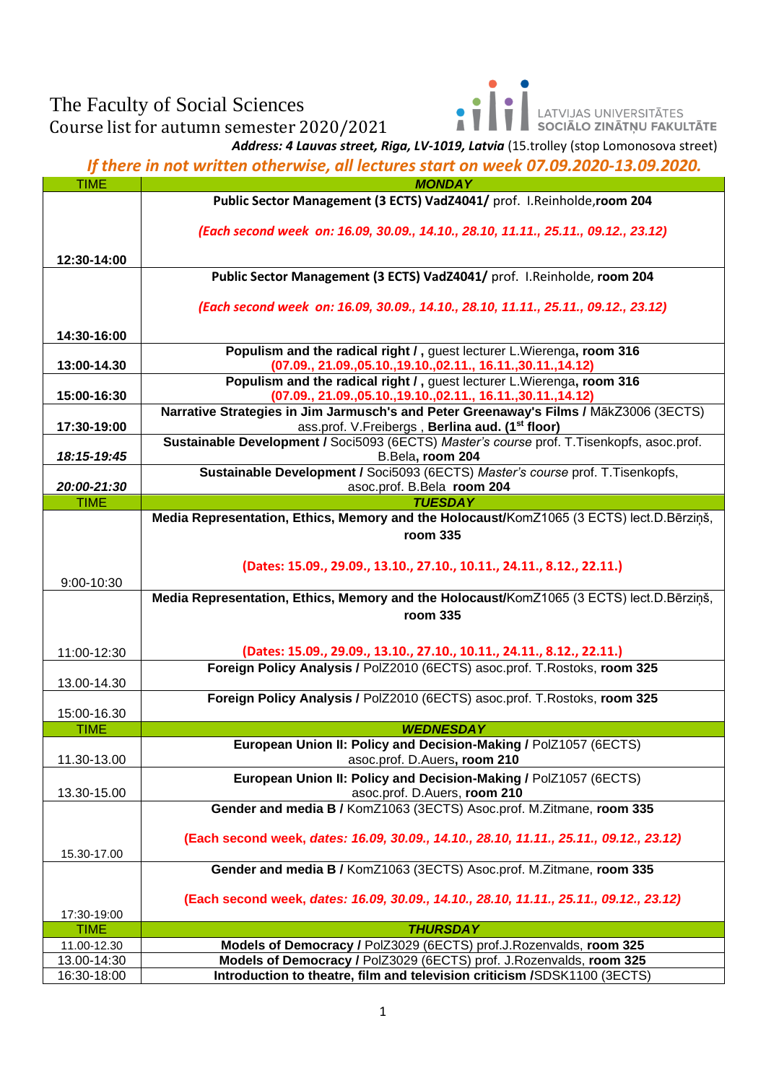## The Faculty of Social Sciences

Course list for autumn semester 2020/2021

LATVIJAS UNIVERSITĀTES<br>**SOCIĀLO ZINĀTŅU FAKULTĀTE** Ā

*Address: 4 Lauvas street, Riga, LV-1019, Latvia* (15.trolley (stop Lomonosova street)

*If there in not written otherwise, all lectures start on week 07.09.2020-13.09.2020.*

| <b>TIME</b> | <b>MONDAY</b>                                                                                                 |
|-------------|---------------------------------------------------------------------------------------------------------------|
|             | Public Sector Management (3 ECTS) VadZ4041/ prof. I.Reinholde, room 204                                       |
|             |                                                                                                               |
|             | (Each second week on: 16.09, 30.09., 14.10., 28.10, 11.11., 25.11., 09.12., 23.12)                            |
| 12:30-14:00 |                                                                                                               |
|             | Public Sector Management (3 ECTS) VadZ4041/ prof. I.Reinholde, room 204                                       |
|             |                                                                                                               |
|             | (Each second week on: 16.09, 30.09., 14.10., 28.10, 11.11., 25.11., 09.12., 23.12)                            |
|             |                                                                                                               |
| 14:30-16:00 | Populism and the radical right /, guest lecturer L. Wierenga, room 316                                        |
| 13:00-14.30 | (07.09., 21.09., 05.10., 19.10., 02.11., 16.11., 30.11., 14.12)                                               |
|             | Populism and the radical right /, guest lecturer L. Wierenga, room 316                                        |
| 15:00-16:30 | (07.09., 21.09., 05.10., 19.10., 02.11., 16.11., 30.11., 14.12)                                               |
|             | Narrative Strategies in Jim Jarmusch's and Peter Greenaway's Films / MākZ3006 (3ECTS)                         |
| 17:30-19:00 | ass.prof. V.Freibergs, Berlina aud. (1 <sup>st</sup> floor)                                                   |
| 18:15-19:45 | Sustainable Development / Soci5093 (6ECTS) Master's course prof. T.Tisenkopfs, asoc.prof.<br>B.Bela, room 204 |
|             | Sustainable Development / Soci5093 (6ECTS) Master's course prof. T.Tisenkopfs,                                |
| 20:00-21:30 | asoc.prof. B.Bela room 204                                                                                    |
| <b>TIME</b> | <b>TUESDAY</b>                                                                                                |
|             | Media Representation, Ethics, Memory and the Holocaust/KomZ1065 (3 ECTS) lect.D.Bērziņš,                      |
|             | room 335                                                                                                      |
|             |                                                                                                               |
|             | (Dates: 15.09., 29.09., 13.10., 27.10., 10.11., 24.11., 8.12., 22.11.)                                        |
| 9:00-10:30  | Media Representation, Ethics, Memory and the Holocaust/KomZ1065 (3 ECTS) lect.D.Bērziņš,                      |
|             | room 335                                                                                                      |
|             |                                                                                                               |
| 11:00-12:30 | (Dates: 15.09., 29.09., 13.10., 27.10., 10.11., 24.11., 8.12., 22.11.)                                        |
|             | Foreign Policy Analysis / PolZ2010 (6ECTS) asoc.prof. T.Rostoks, room 325                                     |
| 13.00-14.30 |                                                                                                               |
|             | Foreign Policy Analysis / PolZ2010 (6ECTS) asoc.prof. T.Rostoks, room 325                                     |
| 15:00-16.30 |                                                                                                               |
| <b>TIME</b> | <b>WEDNESDAY</b>                                                                                              |
| 11.30-13.00 | European Union II: Policy and Decision-Making / PolZ1057 (6ECTS)<br>asoc.prof. D.Auers, room 210              |
|             | European Union II: Policy and Decision-Making / PolZ1057 (6ECTS)                                              |
| 13.30-15.00 | asoc.prof. D.Auers, room 210                                                                                  |
|             | Gender and media B / KomZ1063 (3ECTS) Asoc.prof. M.Zitmane, room 335                                          |
|             |                                                                                                               |
|             | (Each second week, dates: 16.09, 30.09., 14.10., 28.10, 11.11., 25.11., 09.12., 23.12)                        |
| 15.30-17.00 |                                                                                                               |
|             | Gender and media B / KomZ1063 (3ECTS) Asoc.prof. M.Zitmane, room 335                                          |
|             | (Each second week, dates: 16.09, 30.09., 14.10., 28.10, 11.11., 25.11., 09.12., 23.12)                        |
| 17:30-19:00 |                                                                                                               |
| <b>TIME</b> | <b>THURSDAY</b>                                                                                               |
| 11.00-12.30 | Models of Democracy / PolZ3029 (6ECTS) prof.J.Rozenvalds, room 325                                            |
| 13.00-14:30 | Models of Democracy / PolZ3029 (6ECTS) prof. J.Rozenvalds, room 325                                           |
| 16:30-18:00 | Introduction to theatre, film and television criticism /SDSK1100 (3ECTS)                                      |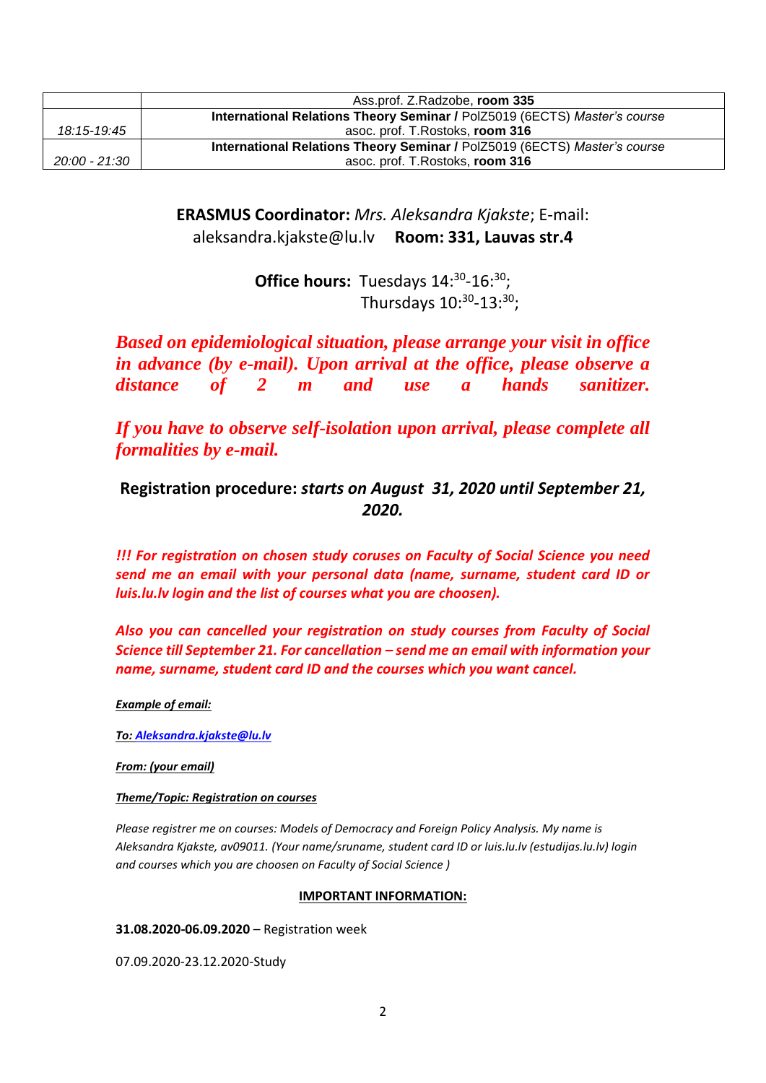|               | Ass.prof. Z.Radzobe, room 335                                             |
|---------------|---------------------------------------------------------------------------|
|               | International Relations Theory Seminar / PolZ5019 (6ECTS) Master's course |
| 18:15-19:45   | asoc. prof. T. Rostoks, room 316                                          |
|               | International Relations Theory Seminar / PolZ5019 (6ECTS) Master's course |
| 20:00 - 21:30 | asoc. prof. T. Rostoks, room 316                                          |

**ERASMUS Coordinator:** *Mrs. Aleksandra Kjakste*; E-mail: aleksandra.kjakste@lu.lv **Room: 331, Lauvas str.4**

> **Office hours:** Tuesdays 14:<sup>30</sup>-16:<sup>30</sup>; Thursdays  $10^{.30}$ - $13^{.30}$ ;

*Based on epidemiological situation, please arrange your visit in office in advance (by e-mail). Upon arrival at the office, please observe a distance of 2 m and use a hands sanitizer.*

*If you have to observe self-isolation upon arrival, please complete all formalities by e-mail.*

**Registration procedure:** *starts on August 31, 2020 until September 21, 2020.*

*!!! For registration on chosen study coruses on Faculty of Social Science you need send me an email with your personal data (name, surname, student card ID or luis.lu.lv login and the list of courses what you are choosen).*

*Also you can cancelled your registration on study courses from Faculty of Social Science till September 21. For cancellation – send me an email with information your name, surname, student card ID and the courses which you want cancel.* 

*Example of email:*

*To: [Aleksandra.kjakste@lu.lv](mailto:Aleksandra.kjakste@lu.lv)*

*From: (your email)*

## *Theme/Topic: Registration on courses*

*Please registrer me on courses: Models of Democracy and Foreign Policy Analysis. My name is Aleksandra Kjakste, av09011. (Your name/sruname, student card ID or luis.lu.lv (estudijas.lu.lv) login and courses which you are choosen on Faculty of Social Science )*

## **IMPORTANT INFORMATION:**

**31.08.2020-06.09.2020** – Registration week

07.09.2020-23.12.2020-Study